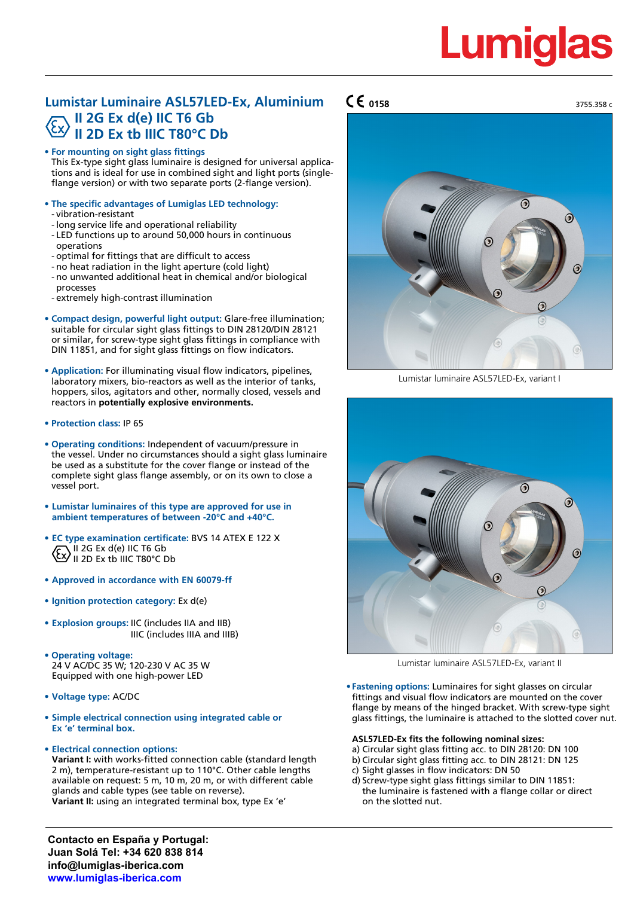# Lumid

## **Lumistar Luminaire ASL57LED-Ex, Aluminium II 2G Ex d(e) IIC T6 Gb II 2D Ex tb IIIC T80°C Db**

**• For mounting on sight glass fittings**

This Ex-type sight glass luminaire is designed for universal applications and is ideal for use in combined sight and light ports (singleflange version) or with two separate ports (2-flange version).

- **• The specific advantages of Lumiglas LED technology:** - vibration-resistant
	- long service life and operational reliability
	- LED functions up to around 50,000 hours in continuous operations
	- optimal for fittings that are difficult to access
	- no heat radiation in the light aperture (cold light)
	- no unwanted additional heat in chemical and/or biological processes
	- extremely high-contrast illumination
- **• Compact design, powerful light output:** Glare-free illumination; suitable for circular sight glass fittings to DIN 28120/DIN 28121 or similar, for screw-type sight glass fittings in compliance with DIN 11851, and for sight glass fittings on flow indicators.
- **• Application:** For illuminating visual flow indicators, pipelines, laboratory mixers, bio-reactors as well as the interior of tanks, hoppers, silos, agitators and other, normally closed, vessels and reactors in **potentially explosive environments.**
- **• Protection class:** IP 65
- **• Operating conditions:** Independent of vacuum/pressure in the vessel. Under no circumstances should a sight glass luminaire be used as a substitute for the cover flange or instead of the complete sight glass flange assembly, or on its own to close a vessel port.
- **• Lumistar luminaires of this type are approved for use in ambient temperatures of between -20°C and +40°C.**
- **• EC type examination certificate:** BVS 14 ATEX E 122 X II 2G Ex d(e) IIC T6 Gb  $\langle 2 \rangle$ <sup>II 2G</sup> Ex the IIIC T80°C Db
- **• Approved in accordance with EN 60079-ff**
- **• Ignition protection category:** Ex d(e)
- **• Explosion groups:** IIC (includes IIA and IIB) IIIC (includes IIIA and IIIB)
- **• Operating voltage:** 24 V AC/DC 35 W; 120-230 V AC 35 W Equipped with one high-power LED
- **• Voltage type:** AC/DC
- **• Simple electrical connection using integrated cable or Ex 'e' terminal box.**
- **• Electrical connection options:**

**Variant I:** with works-fitted connection cable (standard length 2 m), temperature-resistant up to 110°C. Other cable lengths available on request: 5 m, 10 m, 20 m, or with different cable glands and cable types (see table on reverse). **Variant II:** using an integrated terminal box, type Ex 'e'

**0158**



Lumistar luminaire ASL57LED-Ex, variant I



Lumistar luminaire ASL57LED-Ex, variant II

**• Fastening options:** Luminaires for sight glasses on circular fittings and visual flow indicators are mounted on the cover flange by means of the hinged bracket. With screw-type sight glass fittings, the luminaire is attached to the slotted cover nut.

#### **ASL57LED-Ex fits the following nominal sizes:**

- a) Circular sight glass fitting acc. to DIN 28120: DN 100
- b) Circular sight glass fitting acc. to DIN 28121: DN 125
- c) Sight glasses in flow indicators: DN 50
- d) Screw-type sight glass fittings similar to DIN 11851: the luminaire is fastened with a flange collar or direct on the slotted nut.

**Contacto en España y Portugal: Juan Solá Tel: +34 620 838 814 info@lumiglas-iberica.com www.lumiglas-iberica.com**